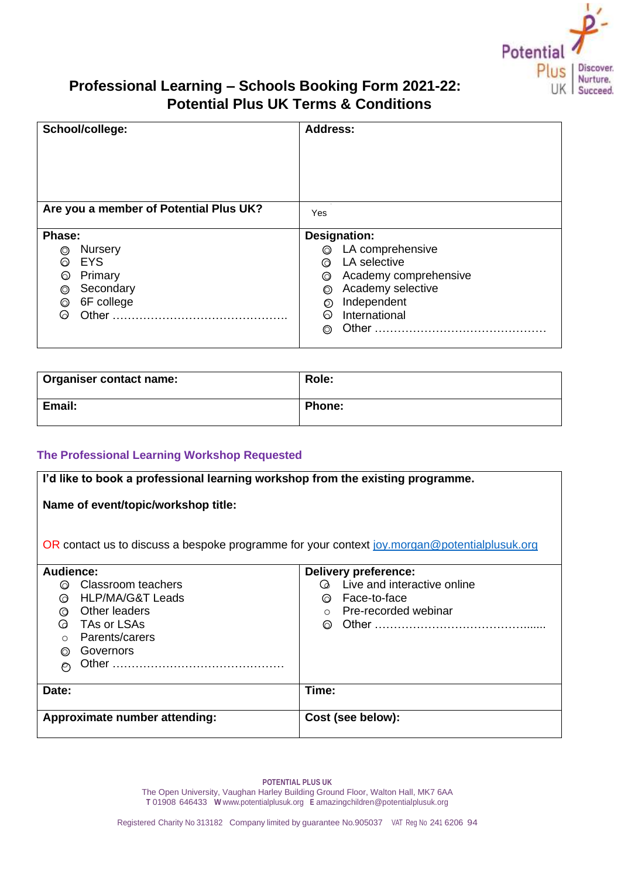

# **Professional Learning – Schools Booking Form 2021-22: Potential Plus UK Terms & Conditions**

| School/college:                        | <b>Address:</b>       |  |
|----------------------------------------|-----------------------|--|
| Are you a member of Potential Plus UK? | Yes                   |  |
| Phase:                                 | <b>Designation:</b>   |  |
| <b>Nursery</b>                         | LA comprehensive      |  |
| $\circledcirc$                         | $\circledcirc$        |  |
| <b>EYS</b>                             | LA selective          |  |
| ଚ                                      | ᢙ                     |  |
| Primary                                | Academy comprehensive |  |
| ⊙                                      | ◎                     |  |
| Secondary                              | Academy selective     |  |
| ◎                                      | ⊚                     |  |
| 6F college                             | Independent           |  |
| $\circledcirc$                         | $\circledcirc$        |  |
|                                        | International         |  |
| ᢙ                                      | ର                     |  |
|                                        | ⊚                     |  |

| <b>Organiser contact name:</b> | Role:         |
|--------------------------------|---------------|
| Email:                         | <b>Phone:</b> |

# **The Professional Learning Workshop Requested**

| I'd like to book a professional learning workshop from the existing programme.               |                                      |  |  |  |  |
|----------------------------------------------------------------------------------------------|--------------------------------------|--|--|--|--|
| Name of event/topic/workshop title:                                                          |                                      |  |  |  |  |
| OR contact us to discuss a bespoke programme for your context joy morgan@potentialplusuk.org |                                      |  |  |  |  |
| Audience:                                                                                    | Delivery preference:                 |  |  |  |  |
| ◎ Classroom teachers                                                                         | <b>Q</b> Live and interactive online |  |  |  |  |
| HLP/MA/G&T Leads<br>ര                                                                        | ◎ Face-to-face                       |  |  |  |  |
| Other leaders<br>ᢙ                                                                           | $\circ$ Pre-recorded webinar         |  |  |  |  |
| TAs or LSAs<br>$\omega$                                                                      |                                      |  |  |  |  |
| Parents/carers<br>$\bigcirc$                                                                 |                                      |  |  |  |  |
| Governors<br>⊚                                                                               |                                      |  |  |  |  |
| $\circ$                                                                                      |                                      |  |  |  |  |
| Date:                                                                                        | Time:                                |  |  |  |  |
| Approximate number attending:                                                                | Cost (see below):                    |  |  |  |  |
|                                                                                              |                                      |  |  |  |  |

**POTENTIAL PLUS UK** The Open University, Vaughan Harley Building Ground Floor, Walton Hall, MK7 6AA **T** 01908 646433 **W** [www.potentialplusuk.org](http://www.potentialplusuk.org/) **E** [amazingchildren@potentialplusuk.org](mailto:amazingchildren@potentialplusuk.org)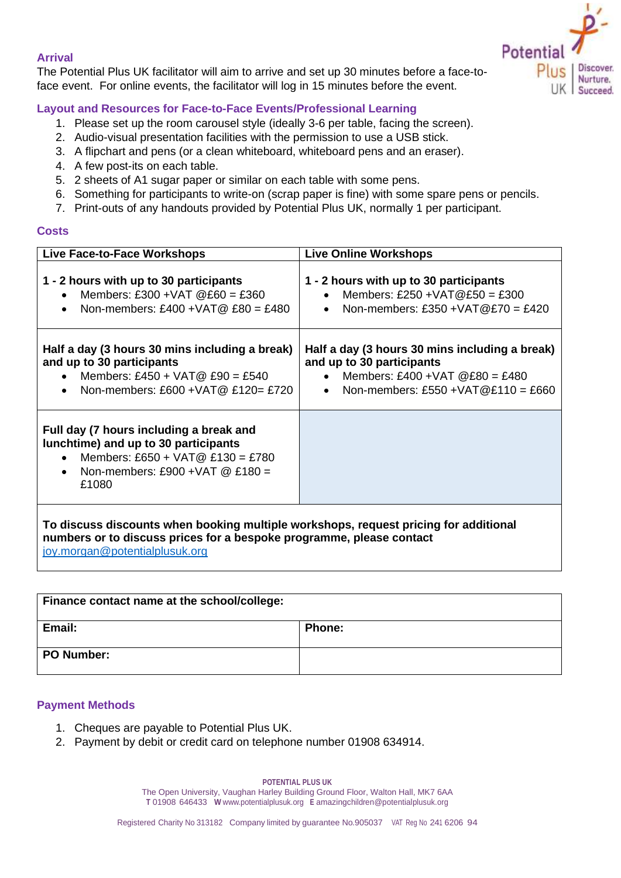# **Arrival**

The Potential Plus UK facilitator will aim to arrive and set up 30 minutes before a face-toface event. For online events, the facilitator will log in 15 minutes before the event.



# **Layout and Resources for Face-to-Face Events/Professional Learning**

- 1. Please set up the room carousel style (ideally 3-6 per table, facing the screen).
- 2. Audio-visual presentation facilities with the permission to use a USB stick.
- 3. A flipchart and pens (or a clean whiteboard, whiteboard pens and an eraser).
- 4. A few post-its on each table.
- 5. 2 sheets of A1 sugar paper or similar on each table with some pens.
- 6. Something for participants to write-on (scrap paper is fine) with some spare pens or pencils.
- 7. Print-outs of any handouts provided by Potential Plus UK, normally 1 per participant.

#### **Costs**

| Live Face-to-Face Workshops                                                                                                                                                                    | <b>Live Online Workshops</b>                                                                                                                                |  |  |
|------------------------------------------------------------------------------------------------------------------------------------------------------------------------------------------------|-------------------------------------------------------------------------------------------------------------------------------------------------------------|--|--|
| 1 - 2 hours with up to 30 participants<br>Members: £300 + VAT $@E60 = £360$<br>Non-members: £400 + VAT $@$ £80 = £480<br>$\bullet$                                                             | 1 - 2 hours with up to 30 participants<br>Members: £250 + VAT@£50 = £300<br>Non-members: £350 + VAT $@E70 = £420$<br>$\bullet$                              |  |  |
| Half a day (3 hours 30 mins including a break)<br>and up to 30 participants<br>• Members: £450 + VAT@ £90 = £540<br>• Non-members: £600 + VAT @ £120 = £720                                    | Half a day (3 hours 30 mins including a break)<br>and up to 30 participants<br>• Members: £400 + VAT $@E80 = £480$<br>• Non-members: £550 + VAT@£110 = £660 |  |  |
| Full day (7 hours including a break and<br>lunchtime) and up to 30 participants<br>Members: £650 + VAT@ £130 = £780<br>Non-members: £900 + VAT $@E180 =$<br>$\bullet$<br>£1080                 |                                                                                                                                                             |  |  |
| To discuss discounts when booking multiple workshops, request pricing for additional<br>numbers or to discuss prices for a bespoke programme, please contact<br>joy.morgan@potentialplusuk.org |                                                                                                                                                             |  |  |

| Finance contact name at the school/college: |               |
|---------------------------------------------|---------------|
| Email:                                      | <b>Phone:</b> |
| PO Number:                                  |               |

#### **Payment Methods**

- 1. Cheques are payable to Potential Plus UK.
- 2. Payment by debit or credit card on telephone number 01908 634914.

**POTENTIAL PLUS UK**

The Open University, Vaughan Harley Building Ground Floor, Walton Hall, MK7 6AA **T** 01908 646433 **W** [www.potentialplusuk.org](http://www.potentialplusuk.org/) **E** [amazingchildren@potentialplusuk.org](mailto:amazingchildren@potentialplusuk.org)